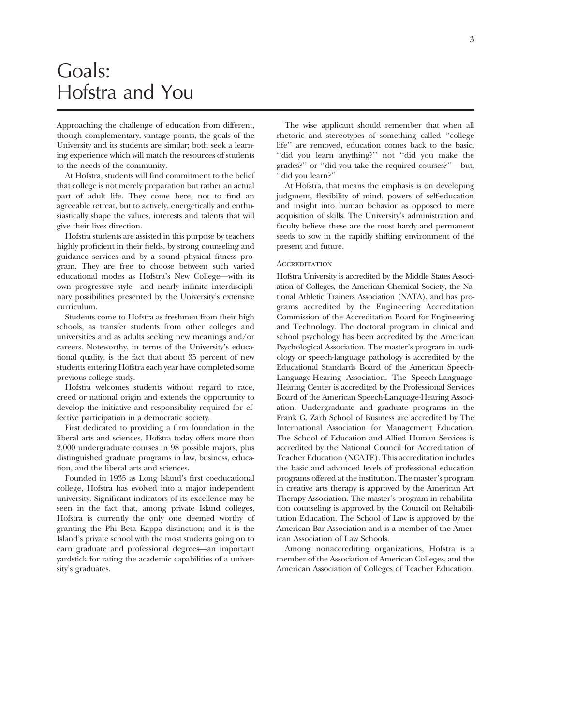## Goals: Hofstra and You

Approaching the challenge of education from different, though complementary, vantage points, the goals of the University and its students are similar; both seek a learning experience which will match the resources of students to the needs of the community.

At Hofstra, students will find commitment to the belief that college is not merely preparation but rather an actual part of adult life. They come here, not to find an agreeable retreat, but to actively, energetically and enthusiastically shape the values, interests and talents that will give their lives direction.

Hofstra students are assisted in this purpose by teachers highly proficient in their fields, by strong counseling and guidance services and by a sound physical fitness program. They are free to choose between such varied educational modes as Hofstra's New College—with its own progressive style—and nearly infinite interdisciplinary possibilities presented by the University's extensive curriculum.

Students come to Hofstra as freshmen from their high schools, as transfer students from other colleges and universities and as adults seeking new meanings and/or careers. Noteworthy, in terms of the University's educational quality, is the fact that about 35 percent of new students entering Hofstra each year have completed some previous college study.

Hofstra welcomes students without regard to race, creed or national origin and extends the opportunity to develop the initiative and responsibility required for effective participation in a democratic society.

First dedicated to providing a firm foundation in the liberal arts and sciences, Hofstra today offers more than 2,000 undergraduate courses in 98 possible majors, plus distinguished graduate programs in law, business, education, and the liberal arts and sciences.

Founded in 1935 as Long Island's first coeducational college, Hofstra has evolved into a major independent university. Significant indicators of its excellence may be seen in the fact that, among private Island colleges, Hofstra is currently the only one deemed worthy of granting the Phi Beta Kappa distinction; and it is the Island's private school with the most students going on to earn graduate and professional degrees—an important yardstick for rating the academic capabilities of a university's graduates.

The wise applicant should remember that when all rhetoric and stereotypes of something called ''college life'' are removed, education comes back to the basic, ''did you learn anything?'' not ''did you make the grades?'' or ''did you take the required courses?''—but, ''did you learn?''

At Hofstra, that means the emphasis is on developing judgment, flexibility of mind, powers of self-education and insight into human behavior as opposed to mere acquisition of skills. The University's administration and faculty believe these are the most hardy and permanent seeds to sow in the rapidly shifting environment of the present and future.

### **ACCREDITATION**

Hofstra University is accredited by the Middle States Association of Colleges, the American Chemical Society, the National Athletic Trainers Association (NATA), and has programs accredited by the Engineering Accreditation Commission of the Accreditation Board for Engineering and Technology. The doctoral program in clinical and school psychology has been accredited by the American Psychological Association. The master's program in audiology or speech-language pathology is accredited by the Educational Standards Board of the American Speech-Language-Hearing Association. The Speech-Language-Hearing Center is accredited by the Professional Services Board of the American Speech-Language-Hearing Association. Undergraduate and graduate programs in the Frank G. Zarb School of Business are accredited by The International Association for Management Education. The School of Education and Allied Human Services is accredited by the National Council for Accreditation of Teacher Education (NCATE). This accreditation includes the basic and advanced levels of professional education programs offered at the institution. The master's program in creative arts therapy is approved by the American Art Therapy Association. The master's program in rehabilitation counseling is approved by the Council on Rehabilitation Education. The School of Law is approved by the American Bar Association and is a member of the American Association of Law Schools.

Among nonaccrediting organizations, Hofstra is a member of the Association of American Colleges, and the American Association of Colleges of Teacher Education.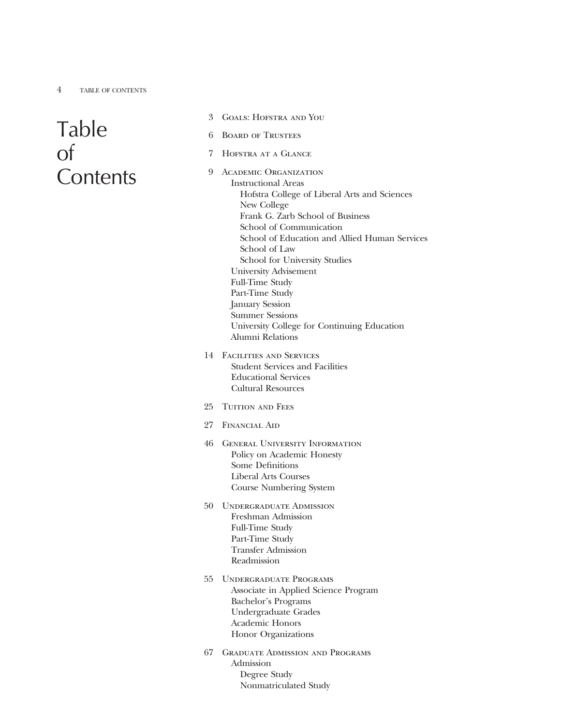# Table of **Contents**

- 3 Goals: Hofstra and You
- 6 Board of Trustees
- 7 Hofstra at a Glance
- 9 Academic Organization Instructional Areas Hofstra College of Liberal Arts and Sciences New College Frank G. Zarb School of Business School of Communication School of Education and Allied Human Services School of Law School for University Studies University Advisement Full-Time Study Part-Time Study January Session Summer Sessions University College for Continuing Education Alumni Relations
- 14 Facilities and Services Student Services and Facilities Educational Services Cultural Resources
- 25 TUITION AND FEES
- 27 Financial Aid
- 46 General University Information Policy on Academic Honesty Some Definitions Liberal Arts Courses Course Numbering System
- 50 Undergraduate Admission Freshman Admission Full-Time Study Part-Time Study Transfer Admission Readmission
- 55 Undergraduate Programs Associate in Applied Science Program Bachelor's Programs Undergraduate Grades Academic Honors Honor Organizations
- 67 Graduate Admission and Programs Admission Degree Study Nonmatriculated Study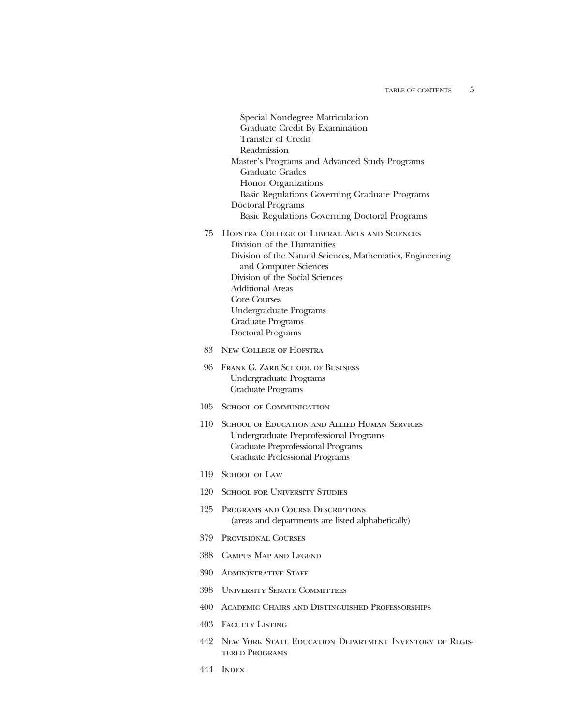- Special Nondegree Matriculation Graduate Credit By Examination Transfer of Credit Readmission Master's Programs and Advanced Study Programs Graduate Grades Honor Organizations Basic Regulations Governing Graduate Programs Doctoral Programs Basic Regulations Governing Doctoral Programs
- 75 Hofstra College of Liberal Arts and Sciences Division of the Humanities Division of the Natural Sciences, Mathematics, Engineering and Computer Sciences Division of the Social Sciences Additional Areas Core Courses Undergraduate Programs Graduate Programs Doctoral Programs
- 83 New College of Hofstra
- 96 Frank G. Zarb School of Business Undergraduate Programs Graduate Programs
- 105 School of Communication
- 110 School of Education and Allied Human Services Undergraduate Preprofessional Programs Graduate Preprofessional Programs Graduate Professional Programs
- 119 School of Law
- 120 School for University Studies
- 125 Programs and Course Descriptions (areas and departments are listed alphabetically)
- 379 Provisional Courses
- 388 Campus Map and Legend
- 390 Administrative Staff
- 398 University Senate Committees
- 400 Academic Chairs and Distinguished Professorships
- 403 Faculty Listing
- 442 New York State Education Department Inventory of Registered Programs
- 444 Index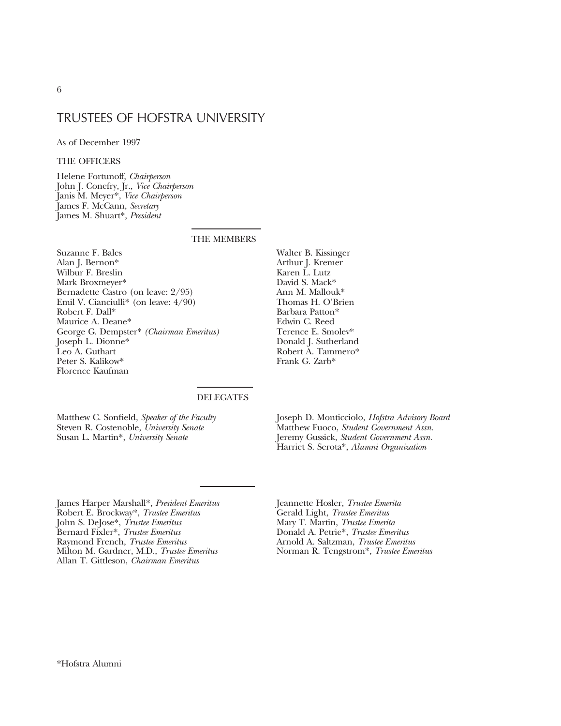## TRUSTEES OF HOFSTRA UNIVERSITY

As of December 1997

## THE OFFICERS

Helene Fortunoff, *Chairperson* John J. Conefry, Jr., *Vice Chairperson* Janis M. Meyer\*, *Vice Chairperson* James F. McCann, *Secretary* James M. Shuart\*, *President*

### THE MEMBERS

Suzanne F. Bales Alan J. Bernon\* Wilbur F. Breslin Mark Broxmeyer\* Bernadette Castro (on leave: 2/95) Emil V. Cianciulli\* (on leave: 4/90) Robert F. Dall\* Maurice A. Deane\* George G. Dempster\* *(Chairman Emeritus)* Joseph L. Dionne\* Leo A. Guthart Peter S. Kalikow\* Florence Kaufman

Walter B. Kissinger Arthur J. Kremer Karen L. Lutz David S. Mack\* Ann M. Mallouk\* Thomas H. O'Brien Barbara Patton\* Edwin C. Reed Terence E. Smolev\* Donald J. Sutherland Robert A. Tammero\* Frank G. Zarb\*

## DELEGATES

Matthew C. Sonfield, *Speaker of the Faculty* Steven R. Costenoble, *University Senate* Susan L. Martin\*, *University Senate*

Joseph D. Monticciolo, *Hofstra Advisory Board* Matthew Fuoco, *Student Government Assn.* Jeremy Gussick, *Student Government Assn.* Harriet S. Serota\*, *Alumni Organization*

James Harper Marshall\*, *President Emeritus* Robert E. Brockway\*, *Trustee Emeritus* John S. DeJose\*, *Trustee Emeritus* Bernard Fixler\*, *Trustee Emeritus* Raymond French, *Trustee Emeritus* Milton M. Gardner, M.D., *Trustee Emeritus* Allan T. Gittleson, *Chairman Emeritus*

Jeannette Hosler, *Trustee Emerita* Gerald Light, *Trustee Emeritus* Mary T. Martin, *Trustee Emerita* Donald A. Petrie\*, *Trustee Emeritus* Arnold A. Saltzman, *Trustee Emeritus* Norman R. Tengstrom\*, *Trustee Emeritus*

6